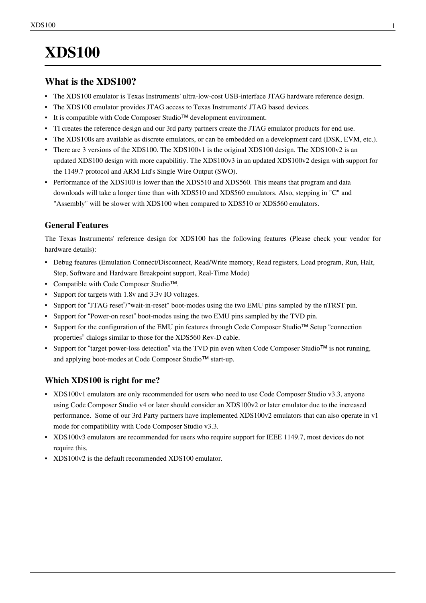# **XDS100**

# **What is the XDS100?**

- The XDS100 emulator is Texas Instruments' ultra-low-cost USB-interface JTAG hardware reference design.
- The XDS100 emulator provides JTAG access to Texas Instruments' JTAG based devices.
- It is compatible with [Code Composer Studio](http://processors.wiki.ti.com/index.php?title=Code_Composer_Studio)™ development environment.
- TI creates the reference design and our 3rd party partners create the JTAG emulator products for end use.
- The XDS100s are available as discrete emulators, or can be embedded on a development card (DSK, EVM, etc.).
- There are 3 versions of the XDS100. The XDS100v1 is the original XDS100 design. The XDS100v2 is an updated XDS100 design with more capabilitiy. The XDS100v3 in an updated XDS100v2 design with support for the 1149.7 protocol and ARM Ltd's Single Wire Output (SWO).
- Performance of the XDS100 is lower than the [XDS510 a](http://processors.wiki.ti.com/index.php?title=XDS510)nd [XDS560.](http://processors.wiki.ti.com/index.php?title=XDS560) This means that program and data downloads will take a longer time than with [XDS510 a](http://processors.wiki.ti.com/index.php?title=XDS510)nd [XDS560 e](http://processors.wiki.ti.com/index.php?title=XDS560)mulators. Also, stepping in "C" and "Assembly" will be slower with XDS100 when compared to [XDS510](http://processors.wiki.ti.com/index.php?title=XDS510) or [XDS560](http://processors.wiki.ti.com/index.php?title=XDS560) emulators.

# **General Features**

The Texas Instruments' reference design for XDS100 has the following features (Please check your vendor for hardware details):

- Debug features [\(Emulation Connect/Disconnect,](http://processors.wiki.ti.com/index.php?title=Emulation_Connect/Disconnect) Read/Write memory, Read registers, Load program, Run, Halt, Step, Software and Hardware [Breakpoint s](http://processors.wiki.ti.com/index.php?title=Breakpoint)upport, [Real-Time Mode](http://processors.wiki.ti.com/index.php?title=Real-Time_Mode))
- Compatible with Code Composer Studio™.
- Support for targets with 1.8v and 3.3v IO voltages.
- Support for "JTAG reset"/"wait-in-reset" boot-modes using the two EMU pins sampled by the nTRST pin.
- Support for "Power-on reset" boot-modes using the two EMU pins sampled by the TVD pin.
- Support for the configuration of the EMU pin features through [Code Composer Studio](http://processors.wiki.ti.com/index.php?title=Code_Composer_Studio)™ Setup "connection properties" dialogs similar to those for the [XDS560 R](http://processors.wiki.ti.com/index.php?title=XDS560)ev-D cable.
- Support for "target power-loss detection" via the TVD pin even when [Code Composer Studio](http://processors.wiki.ti.com/index.php?title=Code_Composer_Studio)™ is not running, and applying boot-modes at [Code Composer Studio](http://processors.wiki.ti.com/index.php?title=Code_Composer_Studio)™ start-up.

# **Which XDS100 is right for me?**

- XDS100v1 emulators are only recommended for users who need to use Code Composer Studio v3.3, anyone using Code Composer Studio v4 or later should consider an XDS100v2 or later emulator due to the increased performance. Some of our 3rd Party partners have implemented XDS100v2 emulators that can also operate in v1 mode for compatibility with Code Composer Studio v3.3.
- XDS100v3 emulators are recommended for users who require support for IEEE 1149.7, most devices do not require this.
- XDS100v2 is the default recommended XDS100 emulator.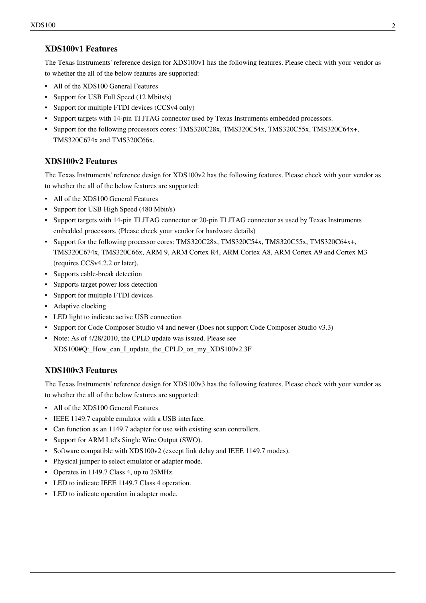# **XDS100v1 Features**

The Texas Instruments' reference design for XDS100v1 has the following features. Please check with your vendor as to whether the all of the below features are supported:

- All of the XDS100 General Features
- Support for USB Full Speed (12 Mbits/s)
- Support for multiple FTDI devices (CCSv4 only)
- Support targets with [14-pin TI JTAG connector u](http://processors.wiki.ti.com/index.php?title=JTAG_Connectors)sed by Texas Instruments embedded processors.
- Support for the following processors cores: TMS320C28x, TMS320C54x, TMS320C55x, TMS320C64x+, TMS320C674x and TMS320C66x.

# **XDS100v2 Features**

The Texas Instruments' reference design for XDS100v2 has the following features. Please check with your vendor as to whether the all of the below features are supported:

- All of the XDS100 General Features
- Support for USB High Speed (480 Mbit/s)
- Support targets with [14-pin TI JTAG connector o](http://processors.wiki.ti.com/index.php?title=JTAG_Connectors)r [20-pin TI JTAG connector a](http://processors.wiki.ti.com/index.php?title=JTAG_Connectors)s used by Texas Instruments embedded processors. (Please check your vendor for hardware details)
- Support for the following processor cores: TMS320C28x, TMS320C54x, TMS320C55x, TMS320C64x+, TMS320C674x, TMS320C66x, ARM 9, ARM Cortex R4, ARM Cortex A8, ARM Cortex A9 and Cortex M3 (requires CCSv4.2.2 or later).
- Supports cable-break detection
- Supports target power loss detection
- Support for multiple FTDI devices
- Adaptive clocking
- LED light to indicate active USB connection
- Support for Code Composer Studio v4 and newer (Does not support Code Composer Studio v3.3)
- Note: As of 4/28/2010, the CPLD update was issued. Please see

[XDS100#Q:\\_How\\_can\\_I\\_update\\_the\\_CPLD\\_on\\_my\\_XDS100v2.3F](http://processors.wiki.ti.com/index.php?title=XDS100%23Q:_How_can_I_update_the_CPLD_on_my_XDS100v2.3F)

# **XDS100v3 Features**

The Texas Instruments' reference design for XDS100v3 has the following features. Please check with your vendor as to whether the all of the below features are supported:

- All of the XDS100 General Features
- IEEE 1149.7 capable emulator with a USB interface.
- Can function as an 1149.7 adapter for use with existing scan controllers.
- Support for ARM Ltd's Single Wire Output (SWO).
- Software compatible with XDS100v2 (except link delay and IEEE 1149.7 modes).
- Physical jumper to select emulator or adapter mode.
- Operates in 1149.7 Class 4, up to 25MHz.
- LED to indicate IEEE 1149.7 Class 4 operation.
- LED to indicate operation in adapter mode.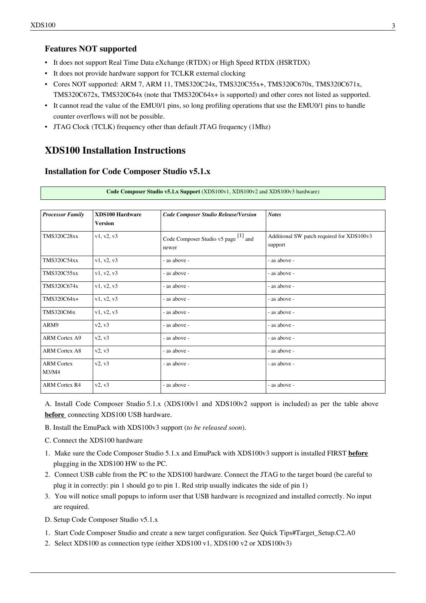### **Features NOT supported**

- It does not support [Real Time Data eXchange \(RTDX\) o](http://processors.wiki.ti.com/index.php?title=Real_Time_Data_eXchange_%28RTDX%29)r [High Speed RTDX \(HSRTDX\)](http://processors.wiki.ti.com/index.php?title=High_Speed_RTDX_%28HSRTDX%29)
- It does not provide hardware support for TCLKR external clocking
- Cores NOT supported: ARM 7, ARM 11, TMS320C24x, TMS320C55x+, TMS320C670x, TMS320C671x, TMS320C672x, TMS320C64x (note that TMS320C64x+ is supported) and other cores not listed as supported.
- It cannot read the value of the EMU0/1 pins, so long profiling operations that use the EMU0/1 pins to handle counter overflows will not be possible.
- JTAG Clock (TCLK) frequency other than default JTAG frequency (1Mhz)

# **XDS100 Installation Instructions**

#### **Installation for Code Composer Studio v5.1.x**

| <b>Processor Family</b> | <b>XDS100 Hardware</b> | <b>Code Composer Studio Release/Version</b> | <b>Notes</b>                              |
|-------------------------|------------------------|---------------------------------------------|-------------------------------------------|
|                         | <b>Version</b>         |                                             |                                           |
| <b>TMS320C28xx</b>      | v1, v2, v3             | Code Composer Studio v5 page [1] and        | Additional SW patch required for XDS100v3 |
|                         |                        | newer                                       | support                                   |
| <b>TMS320C54xx</b>      | v1, v2, v3             | - as above -                                | - as above -                              |
| <b>TMS320C55xx</b>      | v1, v2, v3             | - as above -                                | - as above -                              |
| TMS320C674x             | v1, v2, v3             | - as above -                                | - as above -                              |
| TMS320C64x+             | v1, v2, v3             | - as above -                                | - as above -                              |
| <b>TMS320C66x</b>       | v1, v2, v3             | - as above -                                | - as above -                              |
| ARM9                    | v2, v3                 | - as above -                                | - as above -                              |
| <b>ARM Cortex A9</b>    | v2, v3                 | - as above -                                | - as above -                              |
| <b>ARM Cortex A8</b>    | v2, v3                 | - as above -                                | - as above -                              |
| <b>ARM Cortex</b>       | v2, v3                 | - as above -                                | - as above -                              |
| M3/M4                   |                        |                                             |                                           |
| <b>ARM Cortex R4</b>    | $v_2, v_3$             | - as above -                                | - as above -                              |

**Code Composer Studio v5.1.x Support** (XDS100v1, XDS100v2 and XDS100v3 hardware)

A. Install Code Composer Studio 5.1.x (XDS100v1 and XDS100v2 support is included) as per the table above **before**  connecting XDS100 USB hardware.

- B. Install the EmuPack with XDS100v3 support (*to be released soon*).
- C. Connect the XDS100 hardware
- 1. Make sure the Code Composer Studio 5.1.x and EmuPack with XDS100v3 support is installed FIRST **before** plugging in the XDS100 HW to the PC.
- 2. Connect USB cable from the PC to the XDS100 hardware. Connect the JTAG to the target board (be careful to plug it in correctly: pin 1 should go to pin 1. Red strip usually indicates the side of pin 1)
- 3. You will notice small popups to inform user that USB hardware is recognized and installed correctly. No input are required.
- D. Setup Code Composer Studio v5.1.x
- 1. Start Code Composer Studio and create a new target configuration. See Quick Tips#Target Setup.C2.A0
- 2. Select XDS100 as connection type (either XDS100 v1, XDS100 v2 or XDS100v3)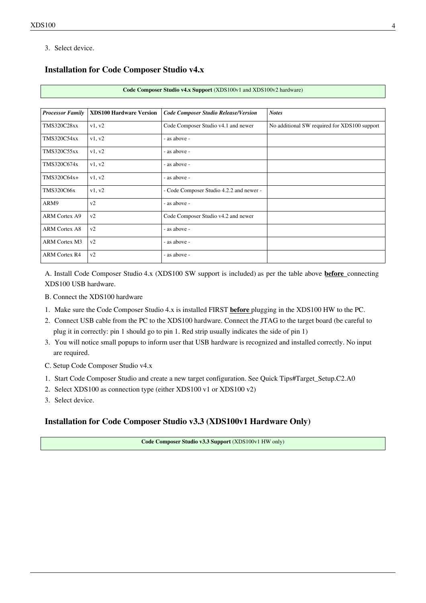3. Select device.

#### **Installation for Code Composer Studio v4.x**

| Code Composer Studio v4.x Support (XDS100v1 and XDS100v2 hardware) |
|--------------------------------------------------------------------|
|--------------------------------------------------------------------|

| <b>Processor Family</b> | <b>XDS100 Hardware Version</b> | <b>Code Composer Studio Release/Version</b> | <b>Notes</b>                                 |
|-------------------------|--------------------------------|---------------------------------------------|----------------------------------------------|
| <b>TMS320C28xx</b>      | v1, v2                         | Code Composer Studio v4.1 and newer         | No additional SW required for XDS100 support |
| <b>TMS320C54xx</b>      | v1, v2                         | - as above -                                |                                              |
| <b>TMS320C55xx</b>      | v1, v2                         | - as above -                                |                                              |
| TMS320C674x             | v1, v2                         | - as above -                                |                                              |
| TMS320C64x+             | v1, v2                         | - as above -                                |                                              |
| <b>TMS320C66x</b>       | v1, v2                         | - Code Composer Studio 4.2.2 and newer -    |                                              |
| ARM9                    | v2                             | - as above -                                |                                              |
| <b>ARM Cortex A9</b>    | v2                             | Code Composer Studio v4.2 and newer         |                                              |
| <b>ARM Cortex A8</b>    | v2                             | - as above -                                |                                              |
| <b>ARM Cortex M3</b>    | v2                             | - as above -                                |                                              |
| <b>ARM Cortex R4</b>    | v2                             | - as above -                                |                                              |

A. Install Code Composer Studio 4.x (XDS100 SW support is included) as per the table above **before**  connecting XDS100 USB hardware.

- B. Connect the XDS100 hardware
- 1. Make sure the Code Composer Studio 4.x is installed FIRST **before** plugging in the XDS100 HW to the PC.
- 2. Connect USB cable from the PC to the XDS100 hardware. Connect the JTAG to the target board (be careful to plug it in correctly: pin 1 should go to pin 1. Red strip usually indicates the side of pin 1)
- 3. You will notice small popups to inform user that USB hardware is recognized and installed correctly. No input are required.
- C. Setup Code Composer Studio v4.x
- 1. Start Code Composer Studio and create a new target configuration. See [Quick Tips#Target\\_Setup.C2.A0](http://processors.wiki.ti.com/index.php?title=Quick_Tips%23Target_Setup.C2.A0)
- 2. Select XDS100 as connection type (either XDS100 v1 or XDS100 v2)
- 3. Select device.

## **Installation for Code Composer Studio v3.3 (XDS100v1 Hardware Only)**

**Code Composer Studio v3.3 Support** (XDS100v1 HW only)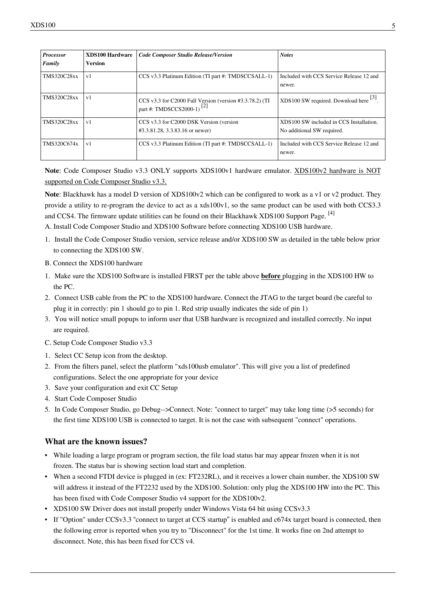| <b>Processor</b><br>Family | <b>XDS100 Hardware</b><br>Version | <b>Code Composer Studio Release/Version</b>                                                      | <b>Notes</b>                                                          |
|----------------------------|-----------------------------------|--------------------------------------------------------------------------------------------------|-----------------------------------------------------------------------|
| <b>TMS320C28xx</b>         | v <sub>1</sub>                    | CCS v3.3 Platinum Edition (TI part #: TMDSCCSALL-1)                                              | Included with CCS Service Release 12 and<br>newer.                    |
| <b>TMS320C28xx</b>         | v1                                | CCS v3.3 for C2000 Full Version (version #3.3.78.2) (TI<br>part #: TMDSCCS2000-1) <sup>[2]</sup> | XDS100 SW required. Download here <sup>[3]</sup> .                    |
| <b>TMS320C28xx</b>         | v <sub>1</sub>                    | CCS v3.3 for C2000 DSK Version (version<br>#3.3.81.28, 3.3.83.16 or newer)                       | XDS100 SW included in CCS Installation.<br>No additional SW required. |
| TMS320C674x                | v <sub>1</sub>                    | CCS v3.3 Platinum Edition (TI part #: TMDSCCSALL-1)                                              | Included with CCS Service Release 12 and<br>newer.                    |

**Note**: Code Composer Studio v3.3 ONLY supports XDS100v1 hardware emulator. XDS100v2 hardware is NOT supported on Code Composer Studio v3.3.

**Note**: Blackhawk has a model D version of XDS100v2 which can be configured to work as a v1 or v2 product. They provide a utility to re-program the device to act as a xds100v1, so the same product can be used with both CCS3.3 and CCS4. The firmware update utilities can be found on their Blackhawk XDS100 Support Page. [\[4\]](http://www.blackhawk-dsp.com/support/xds100)

A. Install Code Composer Studio and XDS100 Software before connecting XDS100 USB hardware.

- 1. Install the Code Composer Studio version, service release and/or XDS100 SW as detailed in the table below prior to connecting the XDS100 SW.
- B. Connect the XDS100 hardware
- 1. Make sure the XDS100 Software is installed FIRST per the table above **before** plugging in the XDS100 HW to the PC.
- 2. Connect USB cable from the PC to the XDS100 hardware. Connect the JTAG to the target board (be careful to plug it in correctly: pin 1 should go to pin 1. Red strip usually indicates the side of pin 1)
- 3. You will notice small popups to inform user that USB hardware is recognized and installed correctly. No input are required.
- C. Setup Code Composer Studio v3.3
- 1. Select CC Setup icon from the desktop.
- 2. From the filters panel, select the platform "xds100usb emulator". This will give you a list of predefined configurations. Select the one appropriate for your device
- 3. Save your configuration and exit CC Setup
- 4. Start Code Composer Studio
- 5. In Code Composer Studio, go Debug-->Connect. Note: "connect to target" may take long time (>5 seconds) for the first time XDS100 USB is connected to target. It is not the case with subsequent "connect" operations.

#### **What are the known issues?**

- While loading a large program or program section, the file load status bar may appear frozen when it is not frozen. The status bar is showing section load start and completion.
- When a second FTDI device is plugged in (ex: FT232RL), and it receives a lower chain number, the XDS100 SW will address it instead of the FT2232 used by the XDS100. Solution: only plug the XDS100 HW into the PC. This has been fixed with [Code Composer Studio v4 s](http://processors.wiki.ti.com/index.php?title=Code_Composer_Studio_v4)upport for the XDS100v2.
- XDS100 SW Driver does not install properly under Windows Vista 64 bit using CCSv3.3
- If "Option" under CCSv3.3 "connect to target at CCS startup" is enabled and c674x target board is connected, then the following error is reported when you try to "Disconnect" for the 1st time. It works fine on 2nd attempt to disconnect. Note, this has been fixed for CCS v4.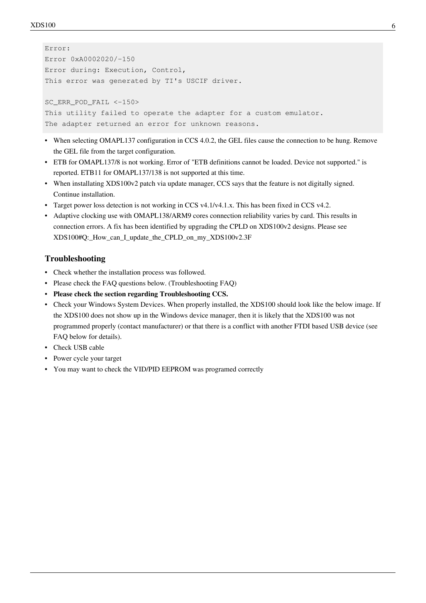```
Error: 
Error 0xA0002020/-150 
Error during: Execution, Control, 
This error was generated by TI's USCIF driver.
SC_ERR_POD_FAIL <-150>
This utility failed to operate the adapter for a custom emulator. 
The adapter returned an error for unknown reasons.
```
- When selecting OMAPL137 configuration in CCS 4.0.2, the GEL files cause the connection to be hung. Remove the GEL file from the target configuration.
- ETB for OMAPL137/8 is not working. Error of "ETB definitions cannot be loaded. Device not supported." is reported. ETB11 for OMAPL137/138 is not supported at this time.
- When installating XDS100v2 patch via update manager, CCS says that the feature is not digitally signed. Continue installation.
- Target power loss detection is not working in CCS v4.1/v4.1.x. This has been fixed in CCS v4.2.
- Adaptive clocking use with OMAPL138/ARM9 cores connection reliability varies by card. This results in connection errors. A fix has been identified by upgrading the CPLD on XDS100v2 designs. Please see [XDS100#Q:\\_How\\_can\\_I\\_update\\_the\\_CPLD\\_on\\_my\\_XDS100v2.3F](http://processors.wiki.ti.com/index.php?title=XDS100%23Q:_How_can_I_update_the_CPLD_on_my_XDS100v2.3F)

### **Troubleshooting**

- Check whether the installation process was followed.
- Please check the FAQ questions below. ([Troubleshooting FAQ](http://processors.wiki.ti.com/index.php?title=XDS100%23Troubleshooting_FAQ))
- **Please check the section regarding [Troubleshooting CCS](http://processors.wiki.ti.com/index.php?title=Troubleshooting_CCS).**
- Check your Windows System Devices. When properly installed, the XDS100 should look like the below image. If the XDS100 does not show up in the Windows device manager, then it is likely that the XDS100 was not programmed properly (contact manufacturer) or that there is a conflict with another FTDI based USB device (see FAQ below for details).
- Check USB cable
- Power cycle your target
- You may want to check the [VID/PID EEPROM was programed correctly](http://processors.wiki.ti.com/index.php?title=XDS100%23Q:_How_can_I_check_if_the_VID.2FPID_for_the_EEPROM_are_programmed_correctly.3F)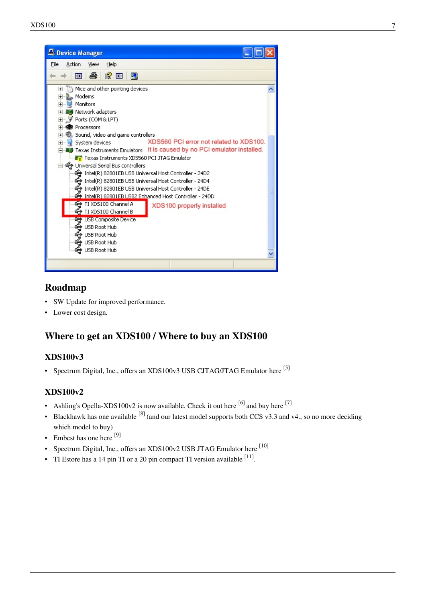

# **Roadmap**

- SW Update for improved performance.
- Lower cost design.

# **Where to get an XDS100 / Where to buy an XDS100**

# **XDS100v3**

• Spectrum Digital, Inc., offers an XDS100v3 USB CJTAG/JTAG Emulator here [\[5\]](http://www.spectrumdigital.com/product_info.php?&products_id=251)

# **XDS100v2**

- Ashling's Opella-XDS100v2 is now available. Check it out here  $[6]$  and buy here  $[7]$
- Blackhawk has one available  $[8]$  (and our latest model supports both CCS v3.3 and v4., so no more deciding which model to buy)
- Embest has one here [\[9\]](http://www.timll.com/chinese/product/XDS100.asp)
- Spectrum Digital, Inc., offers an XDS100v2 USB JTAG Emulator here  $^{[10]}$  $^{[10]}$  $^{[10]}$
- TI Estore has a [14 pin TI](http://processors.wiki.ti.com/index.php?title=JTAG_Connectors%23TI_14-pin_Header_Information) or a [20 pin compact TI](http://processors.wiki.ti.com/index.php?title=JTAG_Connectors%23TI_20-pin_Header_Information) version available  $[11]$ .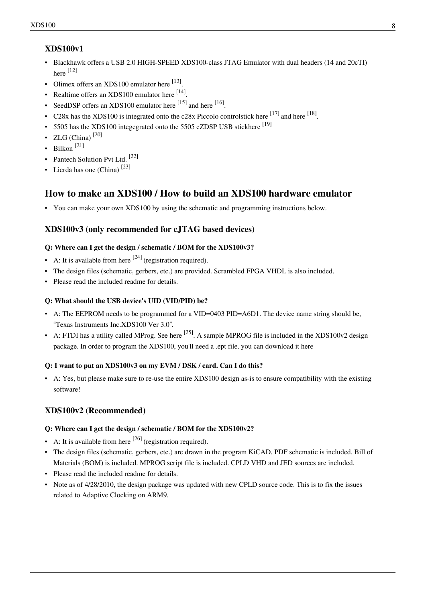# **XDS100v1**

- Blackhawk offers a USB 2.0 HIGH-SPEED XDS100-class JTAG Emulator with dual headers (14 and 20cTI) here [\[12\]](http://www.blackhawk-dsp.com/products/usb100.aspx)
- Olimex offers an XDS100 emulator here [\[13\]](http://www.olimex.com/dev/tms320-jtag-usb.html).
- Realtime offers an XDS100 emulator here [\[14\]](http://www.realtimedsp.com.cn/product/detail.asp?ID=271).
- SeedDSP offers an XDS100 emulator here  $^{[15]}$  and here  $^{[16]}$  $^{[16]}$  $^{[16]}$ .
- C28x has the XDS100 is integrated onto the c28x Piccolo controlstick here  $^{[17]}$  and here  $^{[18]}$  $^{[18]}$  $^{[18]}$ .
- 5505 has the XDS100 integegrated onto the 5505 eZDSP USB stickhere  $^{[19]}$  $^{[19]}$  $^{[19]}$
- ZLG (China) $^{[20]}$  $^{[20]}$  $^{[20]}$
- Bilkon [\[21\]](http://bilkon-kontrol.com.tr/index.php?/eng/Products/Embedded-Systems/XDS100)
- Pantech Solution Pvt Ltd. <sup>[\[22\]](http://www.pantechsolutions.net/UltraLowcostEmulator.html)</sup>
- Lierda has one (China)  $[23]$

# **How to make an XDS100 / How to build an XDS100 hardware emulator**

• You can make your own XDS100 by using the schematic and programming instructions below.

## **XDS100v3 (only recommended for cJTAG based devices)**

#### **Q: Where can I get the design / schematic / BOM for the XDS100v3?**

- A: It is available from here  $[24]$  (registration required).
- The design files (schematic, gerbers, etc.) are provided. Scrambled FPGA VHDL is also included.
- Please read the included readme for details.

#### **Q: What should the USB device's UID (VID/PID) be?**

- A: The EEPROM needs to be programmed for a VID=0403 PID=A6D1. The device name string should be, "Texas Instruments Inc.XDS100 Ver 3.0".
- A: FTDI has a utility called MProg. See here <sup>[\[25\]](http://www.ftdichip.com/Resources/Utilities.htm#MProg)</sup>. A sample MPROG file is included in the XDS100v2 design package. In order to program the XDS100, you'll need a .ept file. you can download it [here](http://processors.wiki.ti.com/index.php?title=Media:XDS100_wUART.zip)

#### **Q: I want to put an XDS100v3 on my EVM / DSK / card. Can I do this?**

• A: Yes, but please make sure to re-use the entire XDS100 design as-is to ensure compatibility with the existing software!

# **XDS100v2 (Recommended)**

#### **Q: Where can I get the design / schematic / BOM for the XDS100v2?**

- A: It is available from here  $[26]$  (registration required).
- The design files (schematic, gerbers, etc.) are drawn in the program KiCAD. PDF schematic is included. Bill of Materials (BOM) is included. MPROG script file is included. CPLD VHD and JED sources are included.
- Please read the included readme for details.
- Note as of 4/28/2010, the design package was updated with new CPLD source code. This is to fix the issues related to [Adaptive Clocking](http://processors.wiki.ti.com/index.php?title=Adaptive_Clocking) on ARM9.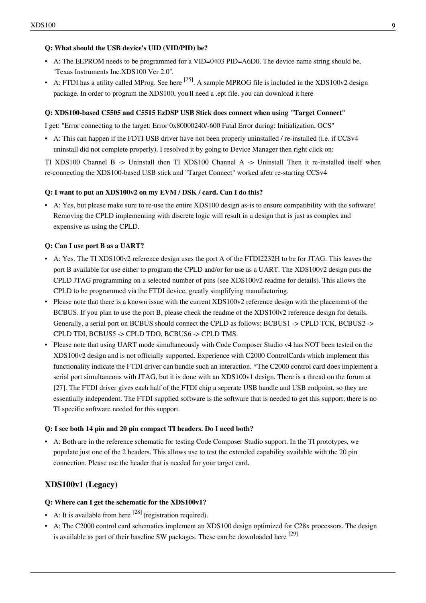#### **Q: What should the USB device's UID (VID/PID) be?**

- A: The EEPROM needs to be programmed for a VID=0403 PID=A6D0. The device name string should be, "Texas Instruments Inc.XDS100 Ver 2.0".
- A: FTDI has a utility called MProg. See here  $^{[25]}$  $^{[25]}$  $^{[25]}$ . A sample MPROG file is included in the XDS100v2 design package. In order to program the XDS100, you'll need a .ept file. you can download it [here](http://processors.wiki.ti.com/index.php?title=Media:XDS100_wUART.zip)

#### **Q: XDS100-based C5505 and C5515 EzDSP USB Stick does connect when using "Target Connect"**

I get: "Error connecting to the target: Error 0x80000240/-600 Fatal Error during: Initialization, OCS"

• A: This can happen if the FDTI USB driver have not been properly uninstalled / re-installed (i.e. if CCSv4 uninstall did not complete properly). I resolved it by going to Device Manager then right click on:

TI XDS100 Channel B -> Uninstall then TI XDS100 Channel A -> Uninstall Then it re-installed itself when re-connecting the XDS100-based USB stick and "Target Connect" worked afetr re-starting CCSv4

#### **Q: I want to put an XDS100v2 on my EVM / DSK / card. Can I do this?**

• A: Yes, but please make sure to re-use the entire XDS100 design as-is to ensure compatibility with the software! Removing the CPLD implementing with discrete logic will result in a design that is just as complex and expensive as using the CPLD.

#### **Q: Can I use port B as a UART?**

- A: Yes. The TI XDS100v2 reference design uses the port A of the FTDI2232H to be for JTAG. This leaves the port B available for use either to program the CPLD and/or for use as a UART. The XDS100v2 design puts the CPLD JTAG programming on a selected number of pins (see XDS100v2 readme for details). This allows the CPLD to be programmed via the FTDI device, greatly simplifying manufacturing.
- Please note that there is a known issue with the current XDS100v2 reference design with the placement of the BCBUS. If you plan to use the port B, please check the readme of the XDS100v2 reference design for details. Generally, a serial port on BCBUS should connect the CPLD as follows: BCBUS1 -> CPLD TCK, BCBUS2 -> CPLD TDI, BCBUS5 -> CPLD TDO, BCBUS6 -> CPLD TMS.
- Please note that using UART mode simultaneously with [Code Composer Studio v4](http://processors.wiki.ti.com/index.php?title=Code_Composer_Studio_v4) has NOT been tested on the XDS100v2 design and is not officially supported. Experience with C2000 ControlCards which implement this functionality indicate the FTDI driver can handle such an interaction. \*The C2000 control card does implement a serial port simultaneous with JTAG, but it is done with an XDS100v1 design. There is a thread on the forum at [\[27\]](http://e2e.ti.com/forums/p/7493/30331.aspx#30331). The FTDI driver gives each half of the FTDI chip a seperate USB handle and USB endpoint, so they are essentially independent. The FTDI supplied software is the software that is needed to get this support; there is no TI specific software needed for this support.

#### **Q: I see both 14 pin and 20 pin compact TI headers. Do I need both?**

• A: Both are in the reference schematic for testing Code Composer Studio support. In the TI prototypes, we populate just one of the 2 headers. This allows use to test the extended capability available with the 20 pin connection. Please use the header that is needed for your target card.

#### **XDS100v1 (Legacy)**

#### **Q: Where can I get the schematic for the XDS100v1?**

- A: It is available from here  $[28]$  (registration required).
- A: The C2000 control card schematics implement an XDS100 design optimized for C28x processors. The design is available as part of their baseline SW packages. These can be downloaded here [\[29\]](http://focus.ti.com/mcu/docs/mcuprodmsptoolsw.tsp?sectionId=95&tabId=1222&familyId=916&toolTypeId=1&DCMP=C2000_F28x&HQS=Other+OT+c2000tools)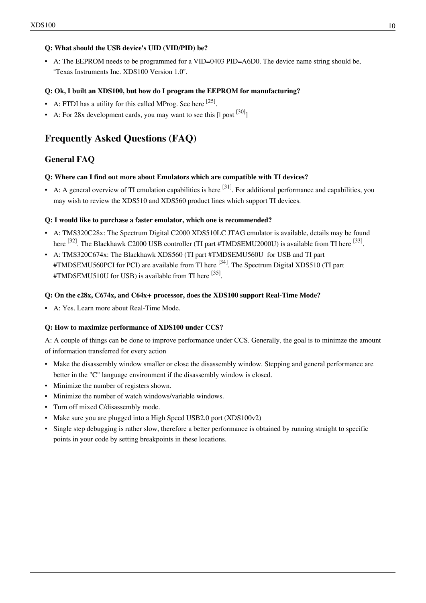### **Q: What should the USB device's UID (VID/PID) be?**

• A: The EEPROM needs to be programmed for a VID=0403 PID=A6D0. The device name string should be, "Texas Instruments Inc. XDS100 Version 1.0".

#### **Q: Ok, I built an XDS100, but how do I program the EEPROM for manufacturing?**

- A: FTDI has a utility for this called MProg. See here  $^{[25]}$  $^{[25]}$  $^{[25]}$ .
- A: For 28x development cards, you may want to see this  $\lceil \cdot \rceil \text{post}^{\, [30]} \rceil$  $\lceil \cdot \rceil \text{post}^{\, [30]} \rceil$  $\lceil \cdot \rceil \text{post}^{\, [30]} \rceil$

# **Frequently Asked Questions (FAQ)**

# **General FAQ**

#### **Q: Where can I find out more about Emulators which are compatible with TI devices?**

• A: A general overview of TI emulation capabilities is here  $[31]$ . For additional performance and capabilities, you may wish to review the [XDS510](http://processors.wiki.ti.com/index.php?title=XDS510) and [XDS560](http://processors.wiki.ti.com/index.php?title=XDS560) product lines which support TI devices.

#### **Q: I would like to purchase a faster emulator, which one is recommended?**

- A: TMS320C28x: The Spectrum Digital C2000 XDS510LC JTAG emulator is available, details may be found here <sup>[\[32\]](http://focus.ti.com/dsp/docs/thirdparty/catalog/devtoolsproductfolder.tsp?actionPerformed=productFolder&productId=2621)</sup>. The Blackhawk C2000 USB controller (TI part #TMDSEMU2000U) is available from TI here <sup>[\[33\]](http://focus.ti.com/dsp/docs/thirdparty/catalog/devtoolsproductfolder.tsp?actionPerformed=productFolder&productId=3158)</sup>.
- A: TMS320C674x: The Blackhawk [XDS560 \(](http://processors.wiki.ti.com/index.php?title=XDS560)TI part #TMDSEMU560U for USB and TI part  $\text{HTMDSEMU560PCI}$  for PCI) are available from TI here  $^{[34]}$  $^{[34]}$  $^{[34]}$ . The Spectrum Digital [XDS510](http://processors.wiki.ti.com/index.php?title=XDS510) (TI part #TMDSEMU510U for USB) is available from TI here <sup>[\[35\]](http://focus.ti.com/docs/toolsw/folders/print/xds510.html)</sup>.

#### **Q: On the c28x, C674x, and C64x+ processor, does the XDS100 support [Real-Time Mode](http://processors.wiki.ti.com/index.php?title=Real-Time_Mode)?**

• A: Yes. Learn more about [Real-Time Mode.](http://processors.wiki.ti.com/index.php?title=Real-Time_Mode)

#### **Q: How to maximize performance of XDS100 under CCS?**

A: A couple of things can be done to improve performance under CCS. Generally, the goal is to minimze the amount of information transferred for every action

- Make the disassembly window smaller or close the disassembly window. Stepping and general performance are better in the "C" language environment if the disassembly window is closed.
- Minimize the number of registers shown.
- Minimize the number of watch windows/variable windows.
- Turn off mixed C/disassembly mode.
- Make sure you are plugged into a High Speed USB2.0 port (XDS100v2)
- Single step debugging is rather slow, therefore a better performance is obtained by running straight to specific points in your code by setting breakpoints in these locations.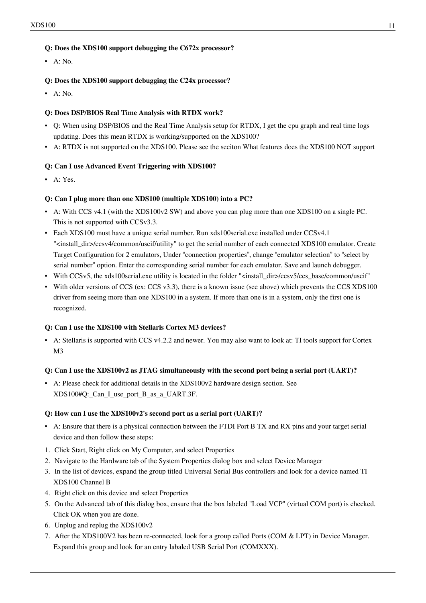#### **Q: Does the XDS100 support debugging the C672x processor?**

 $\bullet$  A · No.

#### **Q: Does the XDS100 support debugging the C24x processor?**

 $\bullet$  A: No.

#### **Q: Does DSP/BIOS Real Time Analysis with RTDX work?**

- Q: When using DSP/BIOS and the Real Time Analysis setup for RTDX, I get the cpu graph and real time logs updating. Does this mean RTDX is working/supported on the XDS100?
- A: RTDX is not supported on the XDS100. Please see the seciton [What features does the XDS100 NOT support](http://processors.wiki.ti.com/index.php?title=XDS100%23Features_NOT_supported.C2.A0)

### **Q: Can I use [Advanced Event Triggering w](http://processors.wiki.ti.com/index.php?title=Advanced_Event_Triggering)ith XDS100?**

 $\bullet$  A: Yes.

### **Q: Can I plug more than one XDS100 (multiple XDS100) into a PC?**

- A: With CCS v4.1 (with the XDS100v2 SW) and above you can plug more than one XDS100 on a single PC. This is not supported with CCSv3.3.
- Each XDS100 must have a unique serial number. Run xds100serial.exe installed under CCSv4.1 "<install\_dir>/ccsv4/common/uscif/utility" to get the serial number of each connected XDS100 emulator. Create Target Configuration for 2 emulators, Under "connection properties", change "emulator selection" to "select by serial number" option. Enter the corresponding serial number for each emulator. Save and launch debugger.
- With CCSv5, the xds100serial.exe utility is located in the folder "<install\_dir>/ccsv5/ccs\_base/common/uscif"
- With older versions of CCS (ex: CCS v3.3), there is a known issue (see above) which prevents the CCS XDS100 driver from seeing more than one XDS100 in a system. If more than one is in a system, only the first one is recognized.

#### **Q: Can I use the XDS100 with Stellaris Cortex M3 devices?**

• A: Stellaris is supported with CCS v4.2.2 and newer. You may also want to look at: [TI tools support for Cortex](http://processors.wiki.ti.com/index.php?title=TI_tools_support_for_Cortex_M3) [M3](http://processors.wiki.ti.com/index.php?title=TI_tools_support_for_Cortex_M3)

#### **Q: Can I use the XDS100v2 as JTAG simultaneously with the second port being a serial port (UART)?**

• A: Please check for additional details in the XDS100v2 hardware design section. See [XDS100#Q:\\_Can\\_I\\_use\\_port\\_B\\_as\\_a\\_UART.3F](http://processors.wiki.ti.com/index.php?title=XDS100%23Q:_Can_I_use_port_B_as_a_UART.3F).

#### **Q: How can I use the XDS100v2's second port as a serial port (UART)?**

- A: Ensure that there is a physical connection between the FTDI Port B TX and RX pins and your target serial device and then follow these steps:
- 1. Click Start, Right click on My Computer, and select Properties
- 2. Navigate to the Hardware tab of the System Properties dialog box and select Device Manager
- 3. In the list of devices, expand the group titled Universal Serial Bus controllers and look for a device named TI XDS100 Channel B
- 4. Right click on this device and select Properties
- 5. On the Advanced tab of this dialog box, ensure that the box labeled "Load VCP" (virtual COM port) is checked. Click OK when you are done.
- 6. Unplug and replug the XDS100v2
- 7. After the XDS100V2 has been re-connected, look for a group called Ports (COM & LPT) in Device Manager. Expand this group and look for an entry labaled USB Serial Port (COMXXX).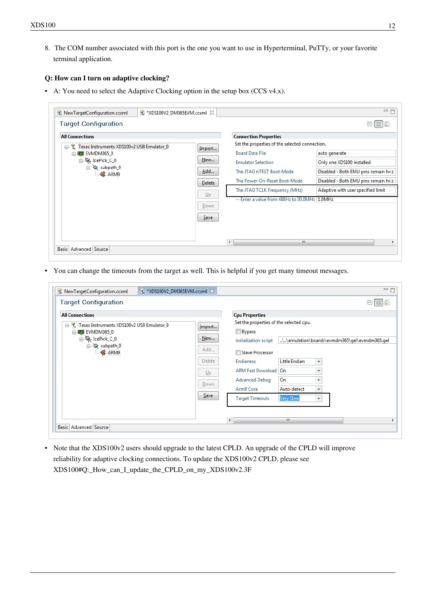8. The COM number associated with this port is the one you want to use in Hyperterminal, PuTTy, or your favorite terminal application.

#### **Q: How can I turn on adaptive clocking?**

• A: You need to select the [Adaptive Clocking o](http://processors.wiki.ti.com/index.php?title=Adaptive_Clocking)ption in the setup box (CCS v4.x).

| <b>Target Configuration</b>                        |        |                                                | $\left \frac{\delta\frac{\pi}{2}}{\pi}\right $<br>⊟ |
|----------------------------------------------------|--------|------------------------------------------------|-----------------------------------------------------|
| <b>All Connections</b>                             |        | <b>Connection Properties</b>                   |                                                     |
| Texas Instruments XDS100v2 USB Emulator_0<br>$E-E$ | Import | Set the properties of the selected connection. |                                                     |
| 白·图 EVMDM365 0                                     |        | <b>Board Data File</b>                         | auto generate                                       |
| dePick_C_0                                         | New    | <b>Emulator Selection</b>                      | Only one XDS100 installed                           |
| subpath_0<br><b>E</b> ARM9                         | Add    | The JTAG nTRST Boot-Mode                       | Disabled - Both EMU pins remain hi-z                |
|                                                    | Delete | The Power-On-Reset Boot-Mode                   | Disabled - Both EMU pins remain hi-z                |
|                                                    |        | The JTAG TCLK Frequency (MHz)                  | Adaptive with user specified limit                  |
|                                                    | Up     | -- Enter a value from 488Hz to 30.0MHz 1.0MHz  |                                                     |
|                                                    | Down   |                                                |                                                     |
|                                                    | Save   |                                                |                                                     |
|                                                    |        |                                                |                                                     |
|                                                    |        |                                                |                                                     |

• You can change the timeouts from the target as well. This is helpful if you get many timeout messages.

| <b>All Connections</b>                                                                                                                                    |              | <b>Cpu Properties</b>                                                                                                                                                                                                                                                                                             |
|-----------------------------------------------------------------------------------------------------------------------------------------------------------|--------------|-------------------------------------------------------------------------------------------------------------------------------------------------------------------------------------------------------------------------------------------------------------------------------------------------------------------|
| Texas Instruments XDS100v2 USB Emulator 0<br>⊟…T.<br>Import<br>白 图 EVMDM365 0<br>dePick_C_0<br>New<br>d subpath_0<br>Add<br><b>E</b> ARM9<br>Delete<br>Up |              | Set the properties of the selected cpu.<br>Bypass<br>\\emulation\boards\evmdm365\gel\evmdm365.gel<br>initialization script<br>Slave Processor<br>Little Endian<br>Endianess<br>$\overline{\phantom{a}}$<br>ARM Fast Download   On<br>$\overline{\phantom{a}}$<br>On<br>Advanced Debug<br>$\overline{\phantom{a}}$ |
|                                                                                                                                                           | Down<br>Save | Arm9 Core<br>Auto-detect<br>$\overline{\phantom{a}}$<br><b>Target Timeouts</b><br><b>Very Slow</b><br>$\overline{\phantom{a}}$<br>$\leftarrow$<br>JU.                                                                                                                                                             |

• Note that the XDS100v2 users should upgrade to the latest CPLD. An upgrade of the CPLD will improve reliability for adaptive clocking connections. To update the XDS100v2 CPLD, please see [XDS100#Q:\\_How\\_can\\_I\\_update\\_the\\_CPLD\\_on\\_my\\_XDS100v2.3F](http://processors.wiki.ti.com/index.php?title=XDS100%23Q:_How_can_I_update_the_CPLD_on_my_XDS100v2.3F)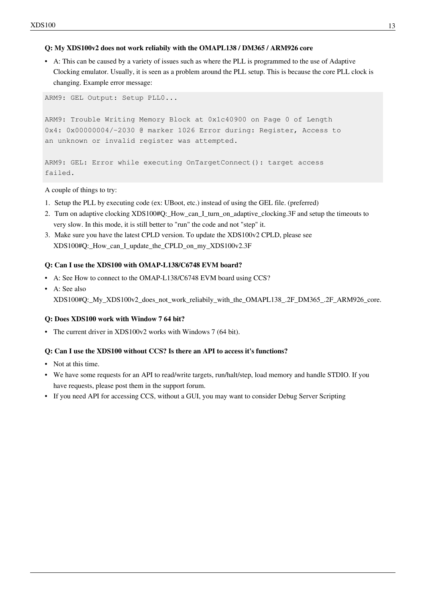#### **Q: My XDS100v2 does not work reliabily with the OMAPL138 / DM365 / ARM926 core**

• A: This can be caused by a variety of issues such as where the PLL is programmed to the use of [Adaptive](http://processors.wiki.ti.com/index.php?title=Adaptive_Clocking) [Clocking e](http://processors.wiki.ti.com/index.php?title=Adaptive_Clocking)mulator. Usually, it is seen as a problem around the PLL setup. This is because the core PLL clock is changing. Example error message:

ARM9: GEL Output: Setup PLL0...

ARM9: Trouble Writing Memory Block at 0x1c40900 on Page 0 of Length 0x4: 0x00000004/-2030 @ marker 1026 Error during: Register, Access to an unknown or invalid register was attempted.

```
ARM9: GEL: Error while executing OnTargetConnect(): target access 
failed.
```
A couple of things to try:

- 1. Setup the PLL by executing code (ex: UBoot, etc.) instead of using the GEL file. (preferred)
- 2. Turn on adaptive clocking [XDS100#Q:\\_How\\_can\\_I\\_turn\\_on\\_adaptive\\_clocking.3F a](http://processors.wiki.ti.com/index.php?title=XDS100%23Q:_How_can_I_turn_on_adaptive_clocking.3F)nd setup the timeouts to very slow. In this mode, it is still better to "run" the code and not "step" it.
- 3. Make sure you have the latest CPLD version. To update the XDS100v2 CPLD, please see [XDS100#Q:\\_How\\_can\\_I\\_update\\_the\\_CPLD\\_on\\_my\\_XDS100v2.3F](http://processors.wiki.ti.com/index.php?title=XDS100%23Q:_How_can_I_update_the_CPLD_on_my_XDS100v2.3F)

#### **Q: Can I use the XDS100 with OMAP-L138/C6748 EVM board?**

- A: See [How to connect to the OMAP-L138/C6748 EVM board using CCS?](http://processors.wiki.ti.com/index.php?title=How_to_connect_to_the_OMAP-L138/C6748_EVM_board_using_CCS%3F)
- A: See also XDS100#Q: My\_XDS100v2\_does\_not\_work\_reliabily\_with\_the\_OMAPL138\_.2F\_DM365\_.2F\_ARM926\_core.

#### **Q: Does XDS100 work with Window 7 64 bit?**

• The current driver in XDS100v2 works with Windows 7 (64 bit).

#### **Q: Can I use the XDS100 without CCS? Is there an API to access it's functions?**

- Not at this time.
- We have some requests for an API to read/write targets, run/halt/step, load memory and handle STDIO. If you have requests, please post them in the support forum.
- If you need API for accessing CCS, without a GUI, you may want to consider [Debug Server Scripting](http://processors.wiki.ti.com/index.php?title=Debug_Server_Scripting)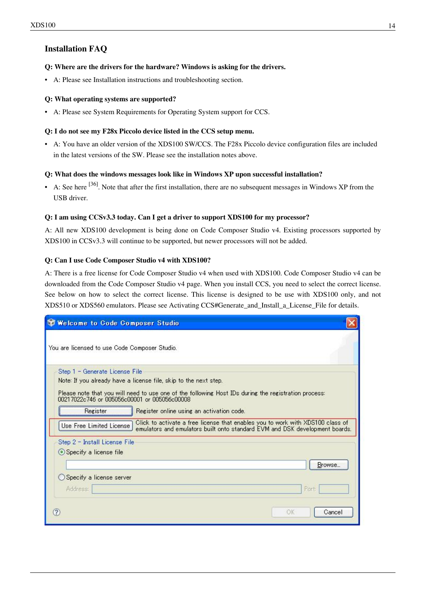# **Installation FAQ**

#### **Q: Where are the drivers for the hardware? Windows is asking for the drivers.**

• A: Please see Installation instructions and [troubleshooting](http://processors.wiki.ti.com/index.php?title=XDS100%23Troubleshooting) section.

#### **Q: What operating systems are supported?**

• A: Please see [System Requirements f](http://processors.wiki.ti.com/index.php?title=System_Requirements)or Operating System support for CCS.

#### **Q: I do not see my F28x Piccolo device listed in the CCS setup menu.**

• A: You have an older version of the XDS100 SW/CCS. The F28x Piccolo device configuration files are included in the latest versions of the SW. Please see the installation notes above.

#### **Q: What does the windows messages look like in Windows XP upon successful installation?**

• A: See here  $[36]$ . Note that after the first installation, there are no subsequent messages in Windows XP from the USB driver.

#### **Q: I am using CCSv3.3 today. Can I get a driver to support XDS100 for my processor?**

A: All new XDS100 development is being done on [Code Composer Studio v4](http://processors.wiki.ti.com/index.php?title=Code_Composer_Studio_v4). Existing processors supported by XDS100 in CCSv3.3 will continue to be supported, but newer processors will not be added.

#### **Q: Can I use [Code Composer Studio v4](http://processors.wiki.ti.com/index.php?title=Code_Composer_Studio_v4) with XDS100?**

A: There is a free license for [Code Composer Studio v4 w](http://processors.wiki.ti.com/index.php?title=Code_Composer_Studio_v4)hen used with XDS100. Code Composer Studio v4 can be downloaded from the [Code Composer Studio v4](http://processors.wiki.ti.com/index.php?title=Code_Composer_Studio_v4) page. When you install CCS, you need to select the correct license. See below on how to select the correct license. This license is designed to be use with XDS100 only, and not [XDS510](http://processors.wiki.ti.com/index.php?title=XDS510) or [XDS560 e](http://processors.wiki.ti.com/index.php?title=XDS560)mulators. Please see [Activating CCS#Generate\\_and\\_Install\\_a\\_License\\_File](http://processors.wiki.ti.com/index.php?title=Activating_CCS%23Generate_and_Install_a_License_File) for details.

| Welcome to Code Composer Studio                                                                                                                      |                                           |                                                                                |    |        |
|------------------------------------------------------------------------------------------------------------------------------------------------------|-------------------------------------------|--------------------------------------------------------------------------------|----|--------|
| You are licensed to use Code Composer Studio.                                                                                                        |                                           |                                                                                |    |        |
| Step 1 - Generate License File                                                                                                                       |                                           |                                                                                |    |        |
| Note: If you already have a license file, skip to the next step.                                                                                     |                                           |                                                                                |    |        |
| Please note that you will need to use one of the following Host IDs during the registration process:<br>00217022c746 or 005056c00001 or 005056c00008 |                                           |                                                                                |    |        |
| Register                                                                                                                                             | Register online using an activation code. |                                                                                |    |        |
|                                                                                                                                                      |                                           | Click to activate a free license that enables you to work with XDS100 class of |    |        |
| Use Free Limited License                                                                                                                             |                                           | emulators and emulators built onto standard EVM and DSK development boards.    |    |        |
| Step 2 - Install License File                                                                                                                        |                                           |                                                                                |    |        |
| Specify a license file                                                                                                                               |                                           |                                                                                |    |        |
|                                                                                                                                                      |                                           |                                                                                |    | Browse |
| Specify a license server                                                                                                                             |                                           |                                                                                |    |        |
| Address:                                                                                                                                             |                                           |                                                                                |    | Port:  |
|                                                                                                                                                      |                                           |                                                                                |    |        |
|                                                                                                                                                      |                                           |                                                                                | OK | Cancel |
|                                                                                                                                                      |                                           |                                                                                |    |        |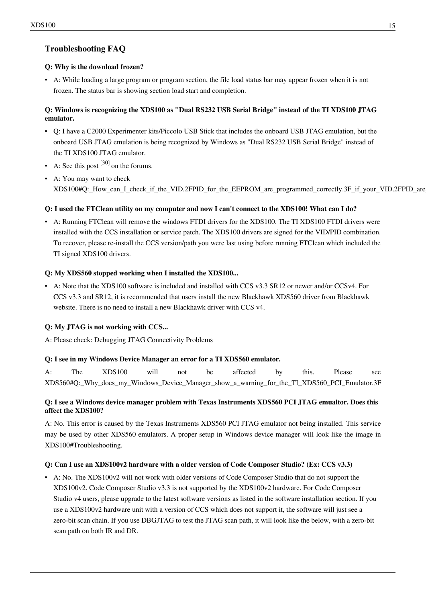# **Troubleshooting FAQ**

### **Q: Why is the download frozen?**

• A: While loading a large program or program section, the file load status bar may appear frozen when it is not frozen. The status bar is showing section load start and completion.

### **Q: Windows is recognizing the XDS100 as "Dual RS232 USB Serial Bridge" instead of the TI XDS100 JTAG emulator.**

- Q: I have a C2000 Experimenter kits/Piccolo USB Stick that includes the onboard USB JTAG emulation, but the onboard USB JTAG emulation is being recognized by Windows as "Dual RS232 USB Serial Bridge" instead of the TI XDS100 JTAG emulator.
- A: See this post  $[30]$  on the forums.
- A: You may want to check [XDS100#Q:\\_How\\_can\\_I\\_check\\_if\\_the\\_VID.2FPID\\_for\\_the\\_EEPROM\\_are\\_programmed\\_correctly.3F\\_if\\_your\\_VID.2FPID\\_are\\_programmed\\_correctly](http://processors.wiki.ti.com/index.php?title=XDS100%23Q:_How_can_I_check_if_the_VID.2FPID_for_the_EEPROM_are_programmed_correctly.3F_if_your_VID.2FPID_are_programmed_correctly)

### **Q: I used the FTClean utility on my computer and now I can't connect to the XDS100! What can I do?**

• A: Running FTClean will remove the windows FTDI drivers for the XDS100. The TI XDS100 FTDI drivers were installed with the CCS installation or service patch. The XDS100 drivers are signed for the VID/PID combination. To recover, please re-install the CCS version/path you were last using before running FTClean which included the TI signed XDS100 drivers.

### **Q: My XDS560 stopped working when I installed the XDS100...**

• A: Note that the XDS100 software is included and installed with CCS v3.3 SR12 or newer and/or CCSv4. For CCS v3.3 and SR12, it is recommended that users install the new Blackhawk XDS560 driver from Blackhawk website. There is no need to install a new Blackhawk driver with CCS v4.

## **Q: My JTAG is not working with CCS...**

A: Please check: [Debugging JTAG Connectivity Problems](http://processors.wiki.ti.com/index.php?title=Debugging_JTAG_Connectivity_Problems)

#### **Q: I see in my Windows Device Manager an error for a TI [XDS560 e](http://processors.wiki.ti.com/index.php?title=XDS560)mulator.**

A: The XDS100 will not be affected by this. Please see [XDS560#Q:\\_Why\\_does\\_my\\_Windows\\_Device\\_Manager\\_show\\_a\\_warning\\_for\\_the\\_TI\\_XDS560\\_PCI\\_Emulator.3F](http://processors.wiki.ti.com/index.php?title=XDS560%23Q:_Why_does_my_Windows_Device_Manager_show_a_warning_for_the_TI_XDS560_PCI_Emulator.3F)

### **Q: I see a Windows device manager problem with Texas Instruments XDS560 PCI JTAG emualtor. Does this affect the XDS100?**

A: No. This error is caused by the Texas Instruments XDS560 PCI JTAG emulator not being installed. This service may be used by other [XDS560](http://processors.wiki.ti.com/index.php?title=XDS560) emulators. A proper setup in Windows device manager will look like the image in [XDS100#Troubleshooting.](http://processors.wiki.ti.com/index.php?title=XDS100%23Troubleshooting)

#### **Q: Can I use an XDS100v2 hardware with a older version of Code Composer Studio? (Ex: CCS v3.3)**

• A: No. The XDS100v2 will not work with older versions of Code Composer Studio that do not support the XDS100v2. Code Composer Studio v3.3 is not supported by the XDS100v2 hardware. For Code Composer Studio v4 users, please upgrade to the latest software versions as listed in the software installation section. If you use a XDS100v2 hardware unit with a version of CCS which does not support it, the software will just see a zero-bit scan chain. If you use [DBGJTAG t](http://processors.wiki.ti.com/index.php?title=DBGJTAG)o test the JTAG scan path, it will look like the below, with a zero-bit scan path on both IR and DR.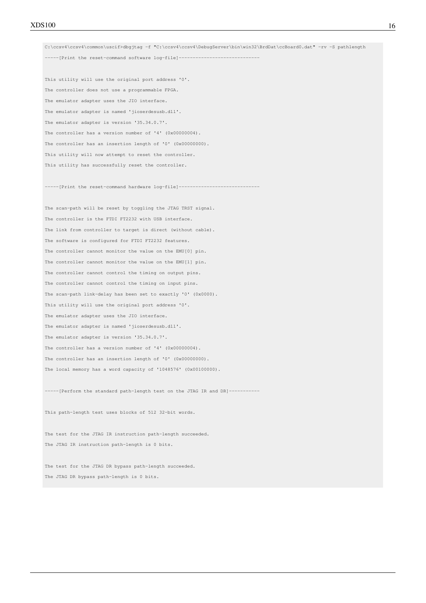C:\ccsv4\ccsv4\common\uscif>dbgjtag -f "C:\ccsv4\ccsv4\DebugServer\bin\win32\BrdDat\ccBoard0.dat" -rv -S pathlength -----[Print the reset-command software log-file]--------------

This utility will use the original port address '0'. The controller does not use a programmable FPGA. The emulator adapter uses the JIO interface. The emulator adapter is named 'jioserdesusb.dll'. The emulator adapter is version '35.34.0.7'. The controller has a version number of '4' (0x00000004). The controller has an insertion length of '0' (0x00000000). This utility will now attempt to reset the controller. This utility has successfully reset the controller.

-----[Print the reset-command hardware log-file]-----------------------------

The scan-path will be reset by toggling the JTAG TRST signal. The controller is the FTDI FT2232 with USB interface. The link from controller to target is direct (without cable). The software is configured for FTDI FT2232 features. The controller cannot monitor the value on the EMU[0] pin. The controller cannot monitor the value on the EMU[1] pin. The controller cannot control the timing on output pins. The controller cannot control the timing on input pins. The scan-path link-delay has been set to exactly '0' (0x0000). This utility will use the original port address '0'. The emulator adapter uses the JIO interface. The emulator adapter is named 'jioserdesusb.dll'. The emulator adapter is version '35.34.0.7'. The controller has a version number of '4' (0x00000004). The controller has an insertion length of '0' (0x000000000). The local memory has a word capacity of '1048576' (0x00100000).

-----[Perform the standard path-length test on the JTAG IR and DR]----------

This path-length test uses blocks of 512 32-bit words.

The test for the JTAG IR instruction path-length succeeded. The JTAG IR instruction path-length is 0 bits.

The test for the JTAG DR bypass path-length succeeded. The JTAG DR bypass path-length is 0 bits.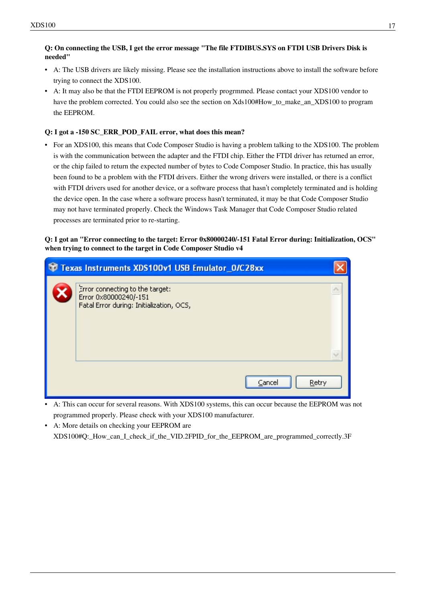### **Q: On connecting the USB, I get the error message "The file FTDIBUS.SYS on FTDI USB Drivers Disk is needed"**

- A: The USB drivers are likely missing. Please see the installation instructions above to install the software before trying to connect the XDS100.
- A: It may also be that the FTDI EEPROM is not properly progrmmed. Please contact your XDS100 vendor to have the problem corrected. You could also see the section on [Xds100#How\\_to\\_make\\_an\\_XDS100](http://processors.wiki.ti.com/index.php?title=Xds100%23How_to_make_an_XDS100) to program the EEPROM.

### **Q: I got a -150 SC\_ERR\_POD\_FAIL error, what does this mean?**

• For an XDS100, this means that Code Composer Studio is having a problem talking to the XDS100. The problem is with the communication between the adapter and the FTDI chip. Either the FTDI driver has returned an error, or the chip failed to return the expected number of bytes to Code Composer Studio. In practice, this has usually been found to be a problem with the FTDI drivers. Either the wrong drivers were installed, or there is a conflict with FTDI drivers used for another device, or a software process that hasn't completely terminated and is holding the device open. In the case where a software process hasn't terminated, it may be that Code Composer Studio may not have terminated properly. Check the Windows Task Manager that Code Composer Studio related processes are terminated prior to re-starting.

#### **Q: I got an "Error connecting to the target: Error 0x80000240/-151 Fatal Error during: Initialization, OCS" when trying to connect to the target in [Code Composer Studio v4](http://processors.wiki.ti.com/index.php?title=Code_Composer_Studio_v4)**

| Texas Instruments XDS100v1 USB Emulator_0/C28xx                                                      |  |
|------------------------------------------------------------------------------------------------------|--|
| Error connecting to the target:<br>Error 0x80000240/-151<br>Fatal Error during: Initialization, OCS, |  |
| Retry<br>Cancel                                                                                      |  |

- A: This can occur for several reasons. With XDS100 systems, this can occur because the EEPROM was not programmed properly. Please check with your XDS100 manufacturer.
- A: More details on checking your EEPROM are [XDS100#Q:\\_How\\_can\\_I\\_check\\_if\\_the\\_VID.2FPID\\_for\\_the\\_EEPROM\\_are\\_programmed\\_correctly.3F](http://processors.wiki.ti.com/index.php?title=XDS100%23Q:_How_can_I_check_if_the_VID.2FPID_for_the_EEPROM_are_programmed_correctly.3F)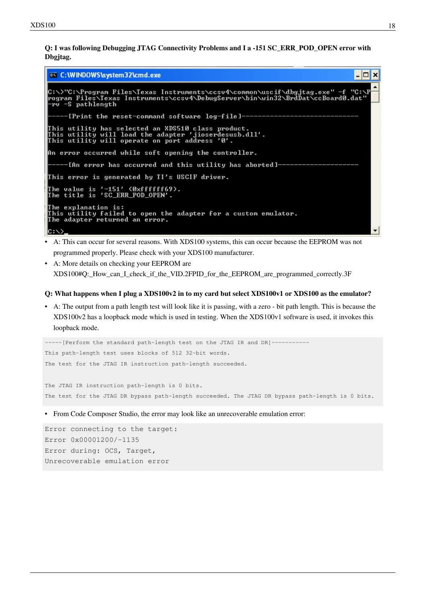**Q: I was following [Debugging JTAG Connectivity Problems](http://processors.wiki.ti.com/index.php?title=Debugging_JTAG_Connectivity_Problems) and I a -151 SC\_ERR\_POD\_OPEN error with [Dbgjtag](http://processors.wiki.ti.com/index.php?title=Dbgjtag).**



- A: This can occur for several reasons. With XDS100 systems, this can occur because the EEPROM was not programmed properly. Please check with your XDS100 manufacturer.
- A: More details on checking your EEPROM are [XDS100#Q:\\_How\\_can\\_I\\_check\\_if\\_the\\_VID.2FPID\\_for\\_the\\_EEPROM\\_are\\_programmed\\_correctly.3F](http://processors.wiki.ti.com/index.php?title=XDS100%23Q:_How_can_I_check_if_the_VID.2FPID_for_the_EEPROM_are_programmed_correctly.3F)

#### **Q: What happens when I plug a XDS100v2 in to my card but select XDS100v1 or XDS100 as the emulator?**

• A: The output from a [path length test w](http://processors.wiki.ti.com/index.php?title=Debugging_JTAG_Connectivity_Problems)ill look like it is passing, with a zero - bit path length. This is because the XDS100v2 has a loopback mode which is used in testing. When the XDS100v1 software is used, it invokes this loopback mode.

-----[Perform the standard path-length test on the JTAG IR and DR]----------- This path-length test uses blocks of 512 32-bit words. The test for the JTAG IR instruction path-length succeeded.

The JTAG IR instruction path-length is 0 bits. The test for the JTAG DR bypass path-length succeeded. The JTAG DR bypass path-length is 0 bits.

• From Code Composer Studio, the error may look like an unrecoverable emulation error:

Error connecting to the target: Error 0x00001200/-1135 Error during: OCS, Target, Unrecoverable emulation error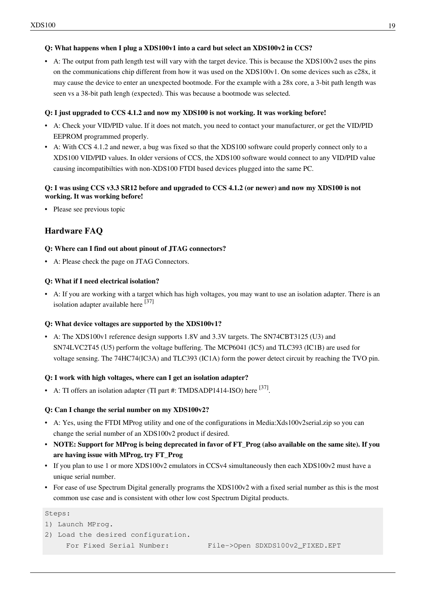#### **Q: What happens when I plug a XDS100v1 into a card but select an XDS100v2 in CCS?**

• A: The output from [path length test w](http://processors.wiki.ti.com/index.php?title=Debugging_JTAG_Connectivity_Problems)ill vary with the target device. This is because the XDS100v2 uses the pins on the communications chip different from how it was used on the XDS100v1. On some devices such as c28x, it may cause the device to enter an unexpected bootmode. For the example with a 28x core, a 3-bit path length was seen vs a 38-bit path lengh (expected). This was because a bootmode was selected.

#### **Q: I just upgraded to CCS 4.1.2 and now my XDS100 is not working. It was working before!**

- A: [Check your VID/PID value. I](http://processors.wiki.ti.com/index.php?title=XDS100%23Q:_How_can_I_check_if_the_VID.2FPID_for_the_EEPROM_are_programmed_correctly.3F)f it does not match, you need to contact your manufacturer, or get the VID/PID EEPROM programmed properly.
- A: With CCS 4.1.2 and newer, a bug was fixed so that the XDS100 software could properly connect only to a XDS100 VID/PID values. In older versions of CCS, the XDS100 software would connect to any VID/PID value causing incompatibilties with non-XDS100 FTDI based devices plugged into the same PC.

#### **Q: I was using CCS v3.3 SR12 before and upgraded to CCS 4.1.2 (or newer) and now my XDS100 is not working. It was working before!**

• [Please see previous topic](http://processors.wiki.ti.com/index.php?title=Xds100%23Q:_I_just_upgraded_to_CCS_4.1.2_and_now_my_XDS100_is_not_working._It_was_working_before.21)

# **Hardware FAQ**

#### **Q: Where can I find out about pinout of JTAG connectors?**

• A: Please check the page on [JTAG Connectors](http://processors.wiki.ti.com/index.php?title=JTAG_Connectors).

#### **Q: What if I need electrical isolation?**

• A: If you are working with a target which has high voltages, you may want to use an isolation adapter. There is an isolation adapter available here  $[37]$ 

#### **Q: What device voltages are supported by the XDS100v1?**

• A: The XDS100v1 reference design supports 1.8V and 3.3V targets. The SN74CBT3125 (U3) and SN74LVC2T45 (U5) perform the voltage buffering. The MCP6041 (IC5) and TLC393 (IC1B) are used for voltage sensing. The 74HC74(IC3A) and TLC393 (IC1A) form the power detect circuit by reaching the TVO pin.

#### **Q: I work with high voltages, where can I get an isolation adapter?**

• A: TI offers an isolation adapter (TI part #: TMDSADP1414-ISO) here  $^{[37]}$  $^{[37]}$  $^{[37]}$ .

#### **Q: Can I change the serial number on my XDS100v2?**

- A: Yes, using the FTDI MProg utility and one of the configurations in [Media:Xds100v2serial.zip](http://processors.wiki.ti.com/index.php?title=Media:Xds100v2serial.zip) so you can change the serial number of an XDS100v2 product if desired.
- **NOTE: Support for MProg is being deprecated in favor of FT\_Prog (also available on the same site). If you are having issue with MProg, try FT\_Prog**
- If you plan to use 1 or more XDS100v2 emulators in CCSv4 simultaneously then each XDS100v2 must have a unique serial number.
- For ease of use Spectrum Digital generally programs the XDS100v2 with a fixed serial number as this is the most common use case and is consistent with other low cost Spectrum Digital products.

#### Steps:

- 1) Launch MProg.
- 2) Load the desired configuration.

For Fixed Serial Number: File->Open SDXDS100v2\_FIXED.EPT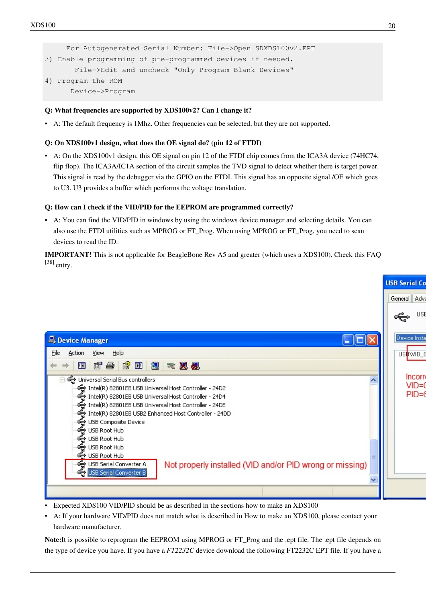```
 For Autogenerated Serial Number: File->Open SDXDS100v2.EPT
3) Enable programming of pre-programmed devices if needed.
        File->Edit and uncheck "Only Program Blank Devices"
4) Program the ROM
       Device->Program
```
#### **Q: What frequencies are supported by XDS100v2? Can I change it?**

• A: The default frequency is 1Mhz. Other frequencies can be selected, but they are not supported.

#### **Q: On XDS100v1 design, what does the OE signal do? (pin 12 of FTDI)**

• A: On the XDS100v1 design, this OE signal on pin 12 of the FTDI chip comes from the ICA3A device (74HC74, flip flop). The ICA3A/IC1A section of the circuit samples the TVD signal to detect whether there is target power. This signal is read by the debugger via the GPIO on the FTDI. This signal has an opposite signal /OE which goes to U3. U3 provides a buffer which performs the voltage translation.

#### **Q: How can I check if the VID/PID for the EEPROM are programmed correctly?**

• A: You can find the VID/PID in windows by using the windows device manager and selecting details. You can also use the FTDI utilities such as MPROG or FT\_Prog. When using MPROG or FT\_Prog, you need to scan devices to read the ID.

**IMPORTANT!** This is not applicable for BeagleBone Rev A5 and greater (which uses a XDS100). Check this FAQ  $[38]$  entry.

|                                                                                                                                                                                                                                                                                                                                                             | <b>USB Serial Co</b>            |
|-------------------------------------------------------------------------------------------------------------------------------------------------------------------------------------------------------------------------------------------------------------------------------------------------------------------------------------------------------------|---------------------------------|
|                                                                                                                                                                                                                                                                                                                                                             | General Adva                    |
|                                                                                                                                                                                                                                                                                                                                                             | <b>USB</b>                      |
| Device Manager                                                                                                                                                                                                                                                                                                                                              | Device Insta                    |
| <b>Action</b><br>View Help<br>File                                                                                                                                                                                                                                                                                                                          | US <sup>&amp;WID_C</sup>        |
| 图 白色 【图 图 文 页 题                                                                                                                                                                                                                                                                                                                                             |                                 |
| ⊟- ही Universal Serial Bus controllers<br>Intel(R) 82801EB USB Universal Host Controller - 24D2<br>Intel(R) 82801EB USB Universal Host Controller - 24D4<br>Intel(R) 82801EB USB Universal Host Controller - 24DE<br>Intel(R) 82801EB USB2 Enhanced Host Controller - 24DD<br>et USB Composite Device<br>မွေး USB Root Hub<br>⊕USBRootHub<br>∉ USB Root Hub | Incorre<br>$VID = 0$<br>$PID=6$ |
| <b>⇔</b> USBRoot Hub<br>< USB Serial Converter A<br>Not properly installed (VID and/or PID wrong or missing)<br><b>C</b> USB Serial Converter B                                                                                                                                                                                                             |                                 |
|                                                                                                                                                                                                                                                                                                                                                             |                                 |

- Expected XDS100 VID/PID should be as described in the sections [how to make an XDS100](http://processors.wiki.ti.com/index.php?title=XDS100%23How_to_make_an_XDS100_.2F_How_to_build_an_XDS100_hardware_emulator)
- A: If your hardware VID/PID does not match what is described in [How to make an XDS100,](http://processors.wiki.ti.com/index.php?title=XDS100%23How_to_make_an_XDS100_.2F_How_to_build_an_XDS100_hardware_emulator) please contact your hardware manufacturer.

**Note:**It is possible to reprogram the EEPROM using MPROG or FT\_Prog and the .ept file. The .ept file depends on the type of device you have. If you have a *FT2232C* device download the following [FT2232C EPT file](http://processors.wiki.ti.com/index.php?title=Media:XDS100_wUART.zip). If you have a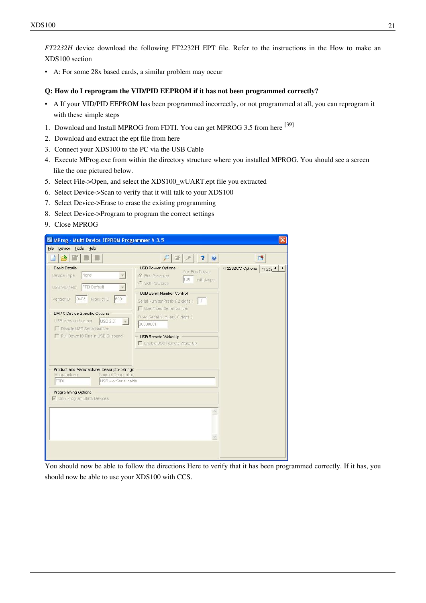*FT2232H* device download the following [FT2232H EPT file.](http://processors.wiki.ti.com/index.php?title=Media:XDS100_wUART_FT2232H.zip) Refer to the instructions in the [How to make an](http://processors.wiki.ti.com/index.php?title=XDS100%23How_to_make_an_XDS100_.2F_How_to_build_an_XDS100_hardware_emulator) [XDS100 section](http://processors.wiki.ti.com/index.php?title=XDS100%23How_to_make_an_XDS100_.2F_How_to_build_an_XDS100_hardware_emulator)

• A: For some 28x based cards, a similar problem may [occur](http://processors.wiki.ti.com/index.php?title=XDS100%23Q:_Windows_is_recognizing_the_XDS100_as_.22Dual_RS232_USB_Serial_Bridge.22_instead_of_the_TI_XDS100_JTAG_emulator.)

#### **Q: How do I reprogram the VID/PID EEPROM if it has not been programmed correctly?**

- A If your VID/PID EEPROM has been programmed incorrectly, or not programmed at all, you can reprogram it with these simple steps
- 1. Download and Install MPROG from FDTI. You can get MPROG 3.5 from here <sup>[\[39\]](http://www.ftdichip.com/Support/Utilities/MProg3.5.zip)</sup>
- 2. Download and extract the ept file from [here](http://processors.wiki.ti.com/index.php?title=Media:XDS100_wUART.zip)
- 3. Connect your XDS100 to the PC via the USB Cable
- 4. Execute MProg.exe from within the directory structure where you installed MPROG. You should see a screen like the one pictured below.
- 5. Select File->Open, and select the XDS100\_wUART.ept file you extracted
- 6. Select Device->Scan to verify that it will talk to your XDS100
- 7. Select Device->Erase to erase the existing programming
- 8. Select Device->Program to program the correct settings
- 9. Close MPROG

| MProg - Multi Device EEPROM Programmer V 3.5                                              |                                                                                                                 |                           |
|-------------------------------------------------------------------------------------------|-----------------------------------------------------------------------------------------------------------------|---------------------------|
| Device Tools Help<br>Eile                                                                 |                                                                                                                 |                           |
| $\rightarrow$                                                                             | $\overline{\mathbf{?}}$<br>$\bullet$<br>嗜                                                                       | 懂                         |
| <b>Basic Details</b><br>None.<br>Device Type<br>FTDI Default<br>USB VID / PID             | <b>USB Power Options</b><br>Max Bus Power<br><b><i>C</i></b> Bus Powered<br>100<br>milli Amps<br>C Self Powered | FT2232C/D Options FT232 1 |
| 6001<br>0403 Product ID<br>Vendor ID                                                      | <b>USB Serial Number Control</b><br>Serial Number Prefix (2 digits) FT<br><b>T</b> Use Fixed Serial Number      |                           |
| BM / C Device Specific Options<br>USB Version Number USB 2.0<br>Disable USB Serial Number | Fixed Serial Number (8 digits)<br>00000001                                                                      |                           |
| Pull Down IO Pins in USB Suspend                                                          | USB Remote Wake Up<br>Enable USB Remote Wake Up                                                                 |                           |
| Product and Manufacturer Descriptor Strings<br>Manufacturer<br>Product Description        |                                                                                                                 |                           |
| FTDI<br>USB <- > Serial cable                                                             |                                                                                                                 |                           |
| Programming Options<br>Only Program Blank Devices                                         |                                                                                                                 |                           |
|                                                                                           |                                                                                                                 |                           |
|                                                                                           |                                                                                                                 |                           |
|                                                                                           |                                                                                                                 |                           |
|                                                                                           |                                                                                                                 |                           |

You should now be able to follow the directions [Here t](http://processors.wiki.ti.com/index.php?title=XDS100%23Q:_How_can_I_check_if_the_VID.2FPID_for_the_EEPROM_are_programmed_correctly.3F)o verify that it has been programmed correctly. If it has, you should now be able to use your XDS100 with CCS.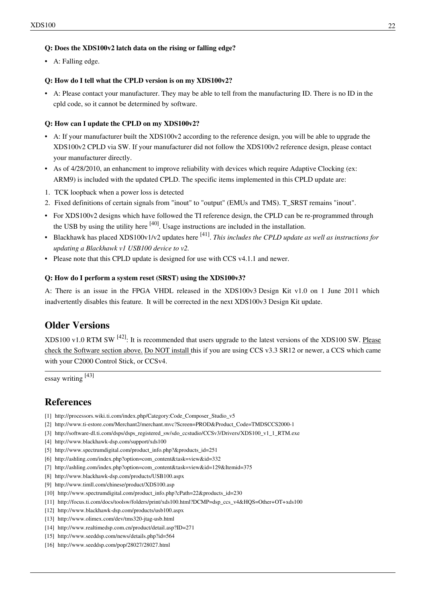#### **Q: Does the XDS100v2 latch data on the rising or falling edge?**

• A: Falling edge.

#### **Q: How do I tell what the CPLD version is on my XDS100v2?**

• A: Please contact your manufacturer. They may be able to tell from the manufacturing ID. There is no ID in the cpld code, so it cannot be determined by software.

#### **Q: How can I update the CPLD on my XDS100v2?**

- A: If your manufacturer built the XDS100v2 according to the reference design, you will be able to upgrade the XDS100v2 CPLD via SW. If your manufacturer did not follow the XDS100v2 reference design, please contact your manufacturer directly.
- As of 4/28/2010, an enhancment to improve reliability with devices which require [Adaptive Clocking \(](http://processors.wiki.ti.com/index.php?title=Adaptive_Clocking)ex: ARM9) is included with the updated CPLD. The specific items implemented in this CPLD update are:
- 1. TCK loopback when a power loss is detected
- 2. Fixed definitions of certain signals from "inout" to "output" (EMUs and TMS). T\_SRST remains "inout".
- For XDS100v2 designs which have followed the TI reference design, the CPLD can be re-programmed through the USB by using the utility here  $[40]$ . Usage instructions are included in the installation.
- Blackhawk has placed XDS100v1/v2 updates here [\[41\]](http://www.blackhawk-dsp.com/support/xds100/) . *This includes the CPLD update as well as instructions for updating a Blackhawk v1 USB100 device to v2.*
- Please note that this CPLD update is designed for use with CCS v4.1.1 and newer.

#### **Q: How do I perform a system reset (SRST) using the XDS100v3?**

A: There is an issue in the FPGA VHDL released in the XDS100v3 Design Kit v1.0 on 1 June 2011 which inadvertently disables this feature. It will be corrected in the next XDS100v3 Design Kit update.

# **Older Versions**

XDS100 v1.0 RTM SW <sup>[\[42\]](https://www-a.ti.com/apps/advisor/xt_download.asp?sku=XDS100&download_file=XDS100_RTM_Release.exe)</sup>: It is recommended that users upgrade to the latest versions of the XDS100 SW. Please check the Software section above. Do NOT install this if you are using CCS v3.3 SR12 or newer, a CCS which came with your C2000 Control Stick, or CCSv4.

essay writing [\[43\]](http://custom-essay.ws/index.php)

## **References**

- [1] [http://processors.wiki.ti.com/index.php/Category:Code\\_Composer\\_Studio\\_v5](http://processors.wiki.ti.com/index.php/Category:Code_Composer_Studio_v5)
- [2] [http://www.ti-estore.com/Merchant2/merchant.mvc?Screen=PROD&Product\\_Code=TMDSCCS2000-1](http://www.ti-estore.com/Merchant2/merchant.mvc?Screen=PROD&Product_Code=TMDSCCS2000-1)
- [3] [http://software-dl.ti.com/dsps/dsps\\_registered\\_sw/sdo\\_ccstudio/CCSv3/Drivers/XDS100\\_v1\\_1\\_RTM.exe](http://software-dl.ti.com/dsps/dsps_registered_sw/sdo_ccstudio/CCSv3/Drivers/XDS100_v1_1_RTM.exe)
- [4] <http://www.blackhawk-dsp.com/support/xds100>
- [5] [http://www.spectrumdigital.com/product\\_info.php?&products\\_id=251](http://www.spectrumdigital.com/product_info.php?&products_id=251)
- [6] [http://ashling.com/index.php?option=com\\_content&task=view&id=332](http://ashling.com/index.php?option=com_content&task=view&id=332)
- [7] [http://ashling.com/index.php?option=com\\_content&task=view&id=129&Itemid=375](http://ashling.com/index.php?option=com_content&task=view&id=129&Itemid=375)
- [8] <http://www.blackhawk-dsp.com/products/USB100.aspx>
- [9] <http://www.timll.com/chinese/product/XDS100.asp>
- [10] [http://www.spectrumdigital.com/product\\_info.php?cPath=22&products\\_id=230](http://www.spectrumdigital.com/product_info.php?cPath=22&products_id=230)
- [11] [http://focus.ti.com/docs/toolsw/folders/print/xds100.html?DCMP=dsp\\_ccs\\_v4&HQS=Other+OT+xds100](http://focus.ti.com/docs/toolsw/folders/print/xds100.html?DCMP=dsp_ccs_v4&HQS=Other+OT+xds100)
- [12] <http://www.blackhawk-dsp.com/products/usb100.aspx>
- [13] <http://www.olimex.com/dev/tms320-jtag-usb.html>
- [14] <http://www.realtimedsp.com.cn/product/detail.asp?ID=271>
- [15] <http://www.seeddsp.com/news/details.php?id=564>
- [16] <http://www.seeddsp.com/pop/28027/28027.html>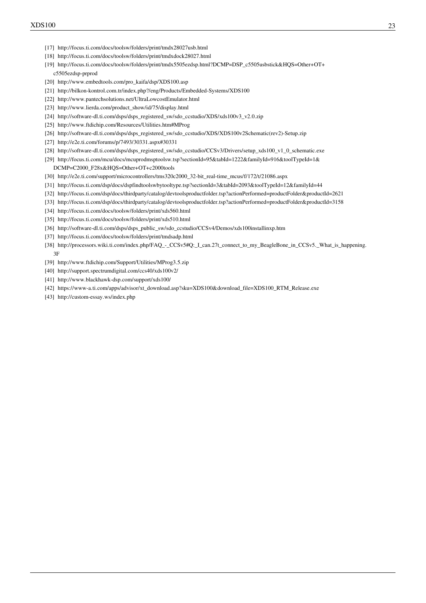- [17] <http://focus.ti.com/docs/toolsw/folders/print/tmdx28027usb.html>
- [18] <http://focus.ti.com/docs/toolsw/folders/print/tmdxdock28027.html>
- [19] [http://focus.ti.com/docs/toolsw/folders/print/tmdx5505ezdsp.html?DCMP=DSP\\_c5505usbstick&HQS=Other+OT+](http://focus.ti.com/docs/toolsw/folders/print/tmdx5505ezdsp.html?DCMP=DSP_c5505usbstick&HQS=Other+OT+c5505ezdsp-prprod) [c5505ezdsp-prprod](http://focus.ti.com/docs/toolsw/folders/print/tmdx5505ezdsp.html?DCMP=DSP_c5505usbstick&HQS=Other+OT+c5505ezdsp-prprod)
- [20] [http://www.embedtools.com/pro\\_kaifa/dsp/XDS100.asp](http://www.embedtools.com/pro_kaifa/dsp/XDS100.asp)
- [21] <http://bilkon-kontrol.com.tr/index.php?/eng/Products/Embedded-Systems/XDS100>
- [22] <http://www.pantechsolutions.net/UltraLowcostEmulator.html>
- [23] [http://www.lierda.com/product\\_show/id/75/display.html](http://www.lierda.com/product_show/id/75/display.html)
- [24] [http://software-dl.ti.com/dsps/dsps\\_registered\\_sw/sdo\\_ccstudio/XDS/xds100v3\\_v2.0.zip](http://software-dl.ti.com/dsps/dsps_registered_sw/sdo_ccstudio/XDS/xds100v3_v2.0.zip)
- [25] <http://www.ftdichip.com/Resources/Utilities.htm#MProg>
- [26] [http://software-dl.ti.com/dsps/dsps\\_registered\\_sw/sdo\\_ccstudio/XDS/XDS100v2Schematic\(rev2\)-Setup.zip](http://software-dl.ti.com/dsps/dsps_registered_sw/sdo_ccstudio/XDS/XDS100v2Schematic(rev2)-Setup.zip)
- [27] <http://e2e.ti.com/forums/p/7493/30331.aspx#30331>
- [28] [http://software-dl.ti.com/dsps/dsps\\_registered\\_sw/sdo\\_ccstudio/CCSv3/Drivers/setup\\_xds100\\_v1\\_0\\_schematic.exe](http://software-dl.ti.com/dsps/dsps_registered_sw/sdo_ccstudio/CCSv3/Drivers/setup_xds100_v1_0_schematic.exe)
- [29] [http://focus.ti.com/mcu/docs/mcuprodmsptoolsw.tsp?sectionId=95&tabId=1222&familyId=916&toolTypeId=1&](http://focus.ti.com/mcu/docs/mcuprodmsptoolsw.tsp?sectionId=95&tabId=1222&familyId=916&toolTypeId=1&DCMP=C2000_F28x&HQS=Other+OT+c2000tools)

[DCMP=C2000\\_F28x&HQS=Other+OT+c2000tools](http://focus.ti.com/mcu/docs/mcuprodmsptoolsw.tsp?sectionId=95&tabId=1222&familyId=916&toolTypeId=1&DCMP=C2000_F28x&HQS=Other+OT+c2000tools)

- [30] [http://e2e.ti.com/support/microcontrollers/tms320c2000\\_32-bit\\_real-time\\_mcus/f/172/t/21086.aspx](http://e2e.ti.com/support/microcontrollers/tms320c2000_32-bit_real-time_mcus/f/172/t/21086.aspx)
- [31] <http://focus.ti.com/dsp/docs/dspfindtoolswbytooltype.tsp?sectionId=3&tabId=2093&toolTypeId=12&familyId=44>
- [32] <http://focus.ti.com/dsp/docs/thirdparty/catalog/devtoolsproductfolder.tsp?actionPerformed=productFolder&productId=2621>
- [33] <http://focus.ti.com/dsp/docs/thirdparty/catalog/devtoolsproductfolder.tsp?actionPerformed=productFolder&productId=3158>
- [34] <http://focus.ti.com/docs/toolsw/folders/print/xds560.html>
- [35] <http://focus.ti.com/docs/toolsw/folders/print/xds510.html>
- [36] [http://software-dl.ti.com/dsps/dsps\\_public\\_sw/sdo\\_ccstudio/CCSv4/Demos/xds100installinxp.htm](http://software-dl.ti.com/dsps/dsps_public_sw/sdo_ccstudio/CCSv4/Demos/xds100installinxp.htm)
- [37] <http://focus.ti.com/docs/toolsw/folders/print/tmdsadp.html>
- [38] [http://processors.wiki.ti.com/index.php/FAQ\\_-\\_CCSv5#Q:\\_I\\_can.27t\\_connect\\_to\\_my\\_BeagleBone\\_in\\_CCSv5.\\_What\\_is\\_happening.](http://processors.wiki.ti.com/index.php/FAQ_-_CCSv5#Q:_I_can.27t_connect_to_my_BeagleBone_in_CCSv5._What_is_happening.3F) [3F](http://processors.wiki.ti.com/index.php/FAQ_-_CCSv5#Q:_I_can.27t_connect_to_my_BeagleBone_in_CCSv5._What_is_happening.3F)
- [39] <http://www.ftdichip.com/Support/Utilities/MProg3.5.zip>
- [40] <http://support.spectrumdigital.com/ccs40/xds100v2/>
- [41] <http://www.blackhawk-dsp.com/support/xds100/>
- [42] [https://www-a.ti.com/apps/advisor/xt\\_download.asp?sku=XDS100&download\\_file=XDS100\\_RTM\\_Release.exe](https://www-a.ti.com/apps/advisor/xt_download.asp?sku=XDS100&download_file=XDS100_RTM_Release.exe)
- [43] <http://custom-essay.ws/index.php>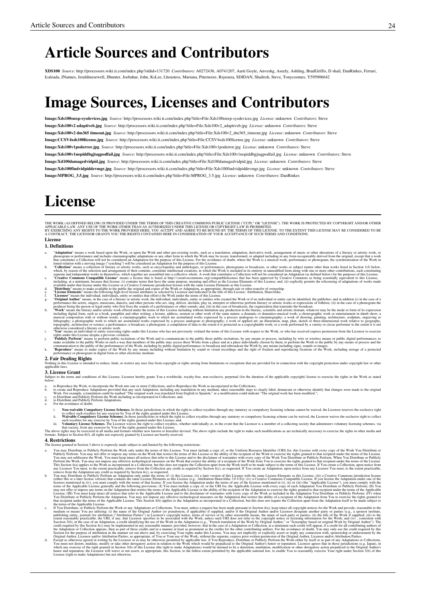# **Article Sources and Contributors**

**XDS100** *Source*: http://processors.wiki.ti.com/index.php?oldid=131720 *Contributors*: A0272436, A0741207, Aarti Goyle, Anveshg, Aseely, Ashling, BradGriffis, D shail, DanRinkes, Ferrari, Icalzada, JNannes, Jeraldinesewell, Jlhunter, Joebahar, John, KsLee, Lheustess, Mariana, Piternoize, Rsjsouza, SDIDAN, Shailesh, Steve, Tonycoomes, Y595906642

# **Image Sources, Licenses and Contributors**

**Image:Xds100onxp-sysdevices.jpg** *Source*: http://processors.wiki.ti.com/index.php?title=File:Xds100onxp-sysdevices.jpg *License*: unknown *Contributors*: Steve **Image:Xds100v2 adaptiveb.jpg** *Source*: http://processors.wiki.ti.com/index.php?title=File:Xds100v2\_adaptiveb.jpg *License*: unknown *Contributors*: Steve **Image:Xds100v2 dm365 timeout.jpg** *Source*: http://processors.wiki.ti.com/index.php?title=File:Xds100v2\_dm365\_timeout.jpg *License*: unknown *Contributors*: Steve **Image:CCSV4xds100license.jpg** *Source*: http://processors.wiki.ti.com/index.php?title=File:CCSV4xds100license.jpg *License*: unknown *Contributors*: Steve **Image:Xds100v1poderror.jpg** *Source*: http://processors.wiki.ti.com/index.php?title=File:Xds100v1poderror.jpg *License*: unknown *Contributors*: Steve **Image:Xds100v1nopiddbgjtagpodfail.jpg** *Source*: http://processors.wiki.ti.com/index.php?title=File:Xds100v1nopiddbgjtagpodfail.jpg *License*: unknown *Contributors*: Steve **Image:Xd100damagedvidpid.jpg** *Source*: http://processors.wiki.ti.com/index.php?title=File:Xd100damagedvidpid.jpg *License*: unknown *Contributors*: Steve **Image:Xds100findvidpiddevmgr.jpg** *Source*: http://processors.wiki.ti.com/index.php?title=File:Xds100findvidpiddevmgr.jpg *License*: unknown *Contributors*: Steve **Image:MPROG\_3.5.jpg** *Source*: http://processors.wiki.ti.com/index.php?title=File:MPROG\_3.5.jpg *License*: unknown *Contributors*: DanRinkes

# **License**

THE WORK (AS DEFINED BELOW) IS PROVIDED UNDER THE TERMS OF THIS CREATIVE COMMONS PUBLICENSE OCCULT ON CONTROVER IN THE WORK IS PROTECTED BY COPYRIGHT AND/OR OTHER<br>APPLICABLE LAW. ANY USE OF THE WORK PROVIDED HERE, YOU ACCE

#### **License**

#### **1. Definitions**

- 
- 
- 
- 
- 
- Andreas a seck based pon the Work or appoint to Work and other pre-cisting agreement and the measurement of measurement of measurement of measurement of the section of a strength of the section of the section of the sectio
- 
- 

...<br>ded to reduce, limit, or restrict any uses free from copyright or rights arising from limitations or exceptions that are provided for in connection with the copyright protection under copyright law or othe Nothing in this Licen<br>applicable laws.

#### **3. License Grant**

d conditions of this License. Licensor bereby grants You a worldwide, royalty-free, non-exclusive, pernetual (for the duration of the applicable convright) license to exercise the rights in the Work as stated belo

- a. to Reproduce the Work, to incorporate the Work into one or more Collections, and to Reproduce the Work as incorporated in the Collections; conserved and Reproduce Adaptations provided that any such Adaptation, including
- -
	-
	-

i. Non-waivable Computsory Licenses Rehenses In those jurisdictions in which the right to collect royalites through any statutory or compulsory licensing scheme cannot be waived, the Licensor reserves the exclusive right t

**4. Restrictions**<br>The license granted in Section 3 above is expressly made subject to and limited by the following restrictions: The license granted in Section 3 above is expressly made subject to and limited by the following restrictions:

- 
- A rea my Distribute or Pholicy betform in Work only under the terms of this Licens. You may include a copy of a full contribute per states in the contribute of the contribute of the contribute of the controlling terms of t
- 
-